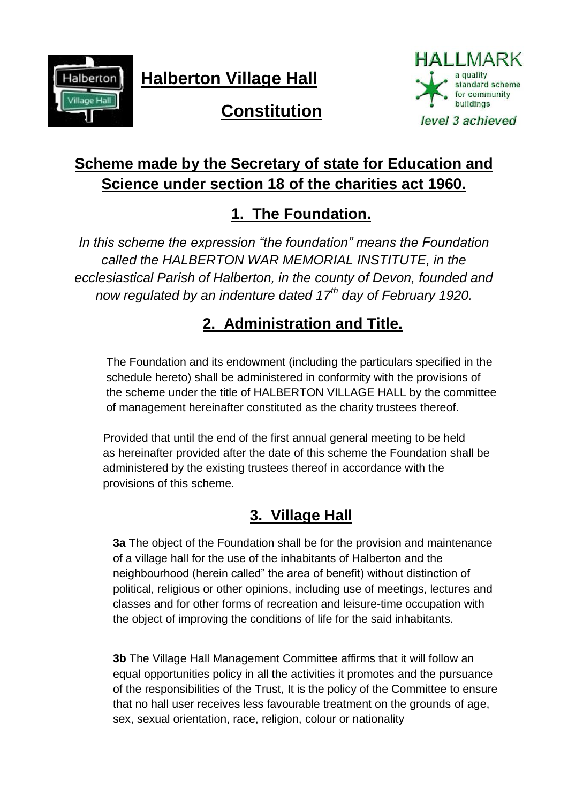

**Halberton Village Hall**



# **Constitution**

# **Scheme made by the Secretary of state for Education and Science under section 18 of the charities act 1960.**

## **1. The Foundation.**

*In this scheme the expression "the foundation" means the Foundation called the HALBERTON WAR MEMORIAL INSTITUTE, in the ecclesiastical Parish of Halberton, in the county of Devon, founded and now regulated by an indenture dated 17th day of February 1920.*

# **2. Administration and Title.**

The Foundation and its endowment (including the particulars specified in the schedule hereto) shall be administered in conformity with the provisions of the scheme under the title of HALBERTON VILLAGE HALL by the committee of management hereinafter constituted as the charity trustees thereof.

Provided that until the end of the first annual general meeting to be held as hereinafter provided after the date of this scheme the Foundation shall be administered by the existing trustees thereof in accordance with the provisions of this scheme.

# **3. Village Hall**

**3a** The object of the Foundation shall be for the provision and maintenance of a village hall for the use of the inhabitants of Halberton and the neighbourhood (herein called" the area of benefit) without distinction of political, religious or other opinions, including use of meetings, lectures and classes and for other forms of recreation and leisure-time occupation with the object of improving the conditions of life for the said inhabitants.

**3b** The Village Hall Management Committee affirms that it will follow an equal opportunities policy in all the activities it promotes and the pursuance of the responsibilities of the Trust, It is the policy of the Committee to ensure that no hall user receives less favourable treatment on the grounds of age, sex, sexual orientation, race, religion, colour or nationality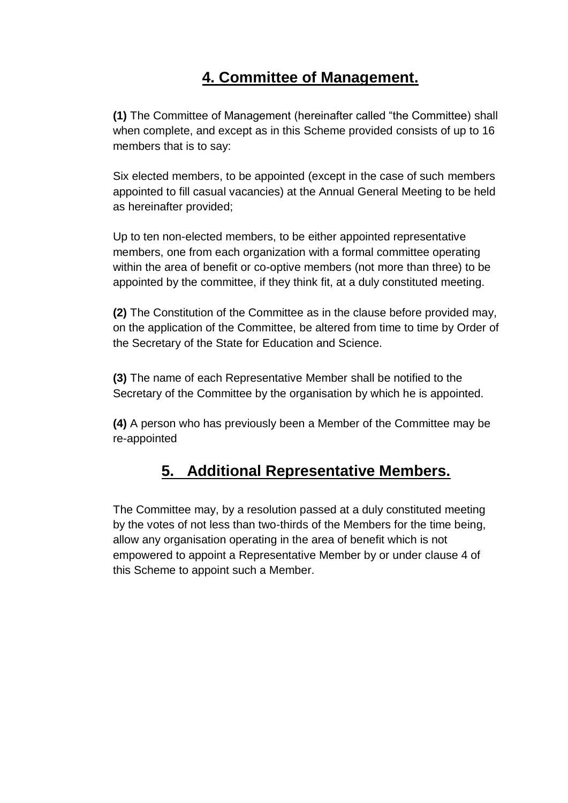### **4. Committee of Management.**

**(1)** The Committee of Management (hereinafter called "the Committee) shall when complete, and except as in this Scheme provided consists of up to 16 members that is to say:

Six elected members, to be appointed (except in the case of such members appointed to fill casual vacancies) at the Annual General Meeting to be held as hereinafter provided;

Up to ten non-elected members, to be either appointed representative members, one from each organization with a formal committee operating within the area of benefit or co-optive members (not more than three) to be appointed by the committee, if they think fit, at a duly constituted meeting.

**(2)** The Constitution of the Committee as in the clause before provided may, on the application of the Committee, be altered from time to time by Order of the Secretary of the State for Education and Science.

**(3)** The name of each Representative Member shall be notified to the Secretary of the Committee by the organisation by which he is appointed.

**(4)** A person who has previously been a Member of the Committee may be re-appointed

### **5. Additional Representative Members.**

The Committee may, by a resolution passed at a duly constituted meeting by the votes of not less than two-thirds of the Members for the time being, allow any organisation operating in the area of benefit which is not empowered to appoint a Representative Member by or under clause 4 of this Scheme to appoint such a Member.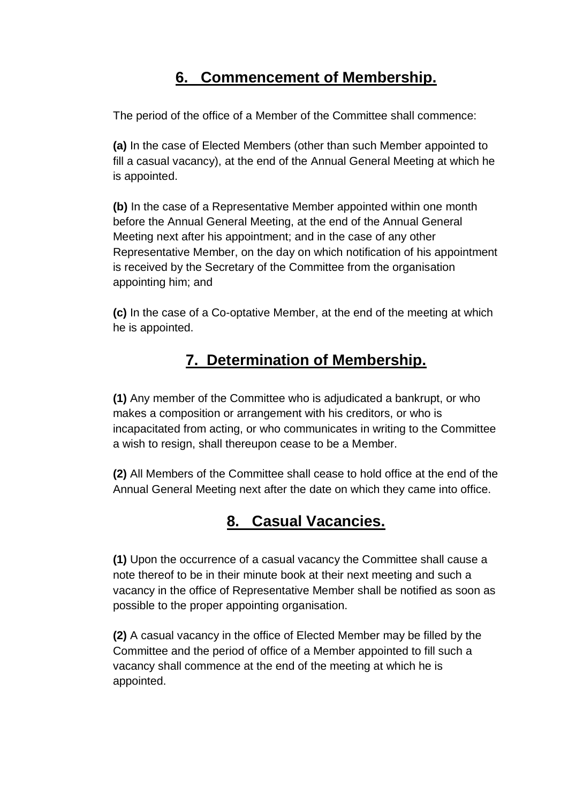### **6. Commencement of Membership.**

The period of the office of a Member of the Committee shall commence:

**(a)** In the case of Elected Members (other than such Member appointed to fill a casual vacancy), at the end of the Annual General Meeting at which he is appointed.

**(b)** In the case of a Representative Member appointed within one month before the Annual General Meeting, at the end of the Annual General Meeting next after his appointment; and in the case of any other Representative Member, on the day on which notification of his appointment is received by the Secretary of the Committee from the organisation appointing him; and

**(c)** In the case of a Co-optative Member, at the end of the meeting at which he is appointed.

### **7. Determination of Membership.**

**(1)** Any member of the Committee who is adjudicated a bankrupt, or who makes a composition or arrangement with his creditors, or who is incapacitated from acting, or who communicates in writing to the Committee a wish to resign, shall thereupon cease to be a Member.

**(2)** All Members of the Committee shall cease to hold office at the end of the Annual General Meeting next after the date on which they came into office.

#### **8. Casual Vacancies.**

**(1)** Upon the occurrence of a casual vacancy the Committee shall cause a note thereof to be in their minute book at their next meeting and such a vacancy in the office of Representative Member shall be notified as soon as possible to the proper appointing organisation.

**(2)** A casual vacancy in the office of Elected Member may be filled by the Committee and the period of office of a Member appointed to fill such a vacancy shall commence at the end of the meeting at which he is appointed.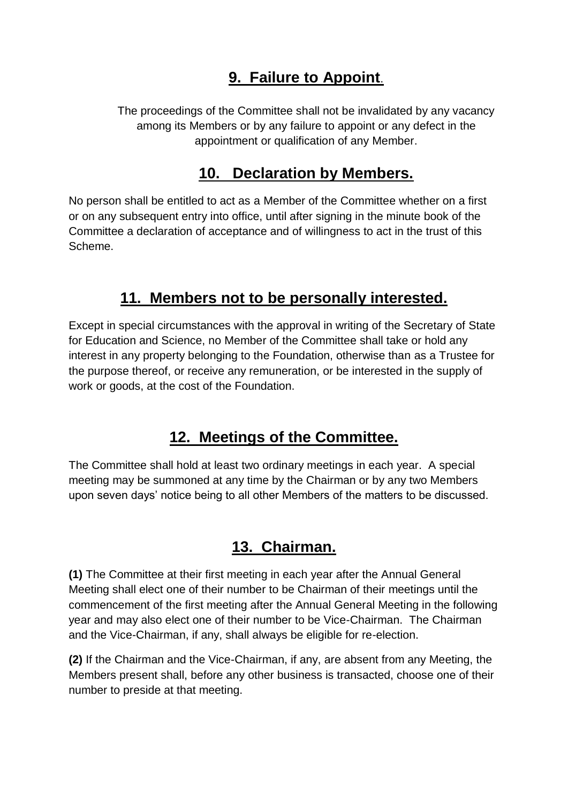### **9. Failure to Appoint**.

The proceedings of the Committee shall not be invalidated by any vacancy among its Members or by any failure to appoint or any defect in the appointment or qualification of any Member.

#### **10. Declaration by Members.**

No person shall be entitled to act as a Member of the Committee whether on a first or on any subsequent entry into office, until after signing in the minute book of the Committee a declaration of acceptance and of willingness to act in the trust of this Scheme.

### **11. Members not to be personally interested.**

Except in special circumstances with the approval in writing of the Secretary of State for Education and Science, no Member of the Committee shall take or hold any interest in any property belonging to the Foundation, otherwise than as a Trustee for the purpose thereof, or receive any remuneration, or be interested in the supply of work or goods, at the cost of the Foundation.

### **12. Meetings of the Committee.**

The Committee shall hold at least two ordinary meetings in each year. A special meeting may be summoned at any time by the Chairman or by any two Members upon seven days' notice being to all other Members of the matters to be discussed.

#### **13. Chairman.**

**(1)** The Committee at their first meeting in each year after the Annual General Meeting shall elect one of their number to be Chairman of their meetings until the commencement of the first meeting after the Annual General Meeting in the following year and may also elect one of their number to be Vice-Chairman. The Chairman and the Vice-Chairman, if any, shall always be eligible for re-election.

**(2)** If the Chairman and the Vice-Chairman, if any, are absent from any Meeting, the Members present shall, before any other business is transacted, choose one of their number to preside at that meeting.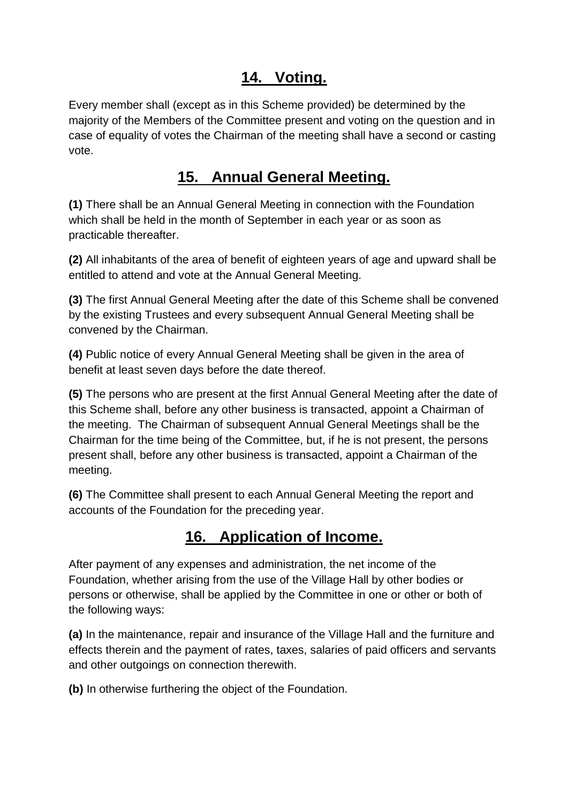#### **14. Voting.**

Every member shall (except as in this Scheme provided) be determined by the majority of the Members of the Committee present and voting on the question and in case of equality of votes the Chairman of the meeting shall have a second or casting vote.

### **15. Annual General Meeting.**

**(1)** There shall be an Annual General Meeting in connection with the Foundation which shall be held in the month of September in each year or as soon as practicable thereafter.

**(2)** All inhabitants of the area of benefit of eighteen years of age and upward shall be entitled to attend and vote at the Annual General Meeting.

**(3)** The first Annual General Meeting after the date of this Scheme shall be convened by the existing Trustees and every subsequent Annual General Meeting shall be convened by the Chairman.

**(4)** Public notice of every Annual General Meeting shall be given in the area of benefit at least seven days before the date thereof.

**(5)** The persons who are present at the first Annual General Meeting after the date of this Scheme shall, before any other business is transacted, appoint a Chairman of the meeting. The Chairman of subsequent Annual General Meetings shall be the Chairman for the time being of the Committee, but, if he is not present, the persons present shall, before any other business is transacted, appoint a Chairman of the meeting.

**(6)** The Committee shall present to each Annual General Meeting the report and accounts of the Foundation for the preceding year.

### **16. Application of Income.**

After payment of any expenses and administration, the net income of the Foundation, whether arising from the use of the Village Hall by other bodies or persons or otherwise, shall be applied by the Committee in one or other or both of the following ways:

**(a)** In the maintenance, repair and insurance of the Village Hall and the furniture and effects therein and the payment of rates, taxes, salaries of paid officers and servants and other outgoings on connection therewith.

**(b)** In otherwise furthering the object of the Foundation.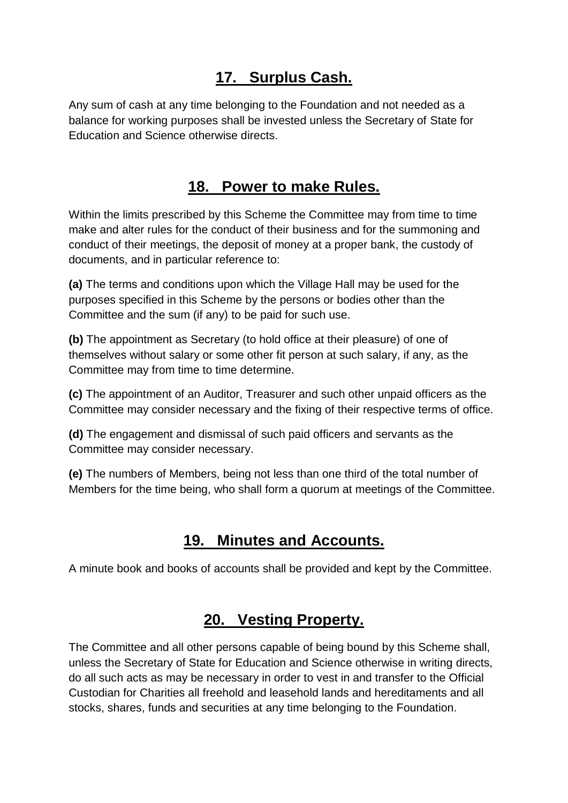#### **17. Surplus Cash.**

Any sum of cash at any time belonging to the Foundation and not needed as a balance for working purposes shall be invested unless the Secretary of State for Education and Science otherwise directs.

#### **18. Power to make Rules.**

Within the limits prescribed by this Scheme the Committee may from time to time make and alter rules for the conduct of their business and for the summoning and conduct of their meetings, the deposit of money at a proper bank, the custody of documents, and in particular reference to:

**(a)** The terms and conditions upon which the Village Hall may be used for the purposes specified in this Scheme by the persons or bodies other than the Committee and the sum (if any) to be paid for such use.

**(b)** The appointment as Secretary (to hold office at their pleasure) of one of themselves without salary or some other fit person at such salary, if any, as the Committee may from time to time determine.

**(c)** The appointment of an Auditor, Treasurer and such other unpaid officers as the Committee may consider necessary and the fixing of their respective terms of office.

**(d)** The engagement and dismissal of such paid officers and servants as the Committee may consider necessary.

**(e)** The numbers of Members, being not less than one third of the total number of Members for the time being, who shall form a quorum at meetings of the Committee.

### **19. Minutes and Accounts.**

A minute book and books of accounts shall be provided and kept by the Committee.

#### **20. Vesting Property.**

The Committee and all other persons capable of being bound by this Scheme shall, unless the Secretary of State for Education and Science otherwise in writing directs, do all such acts as may be necessary in order to vest in and transfer to the Official Custodian for Charities all freehold and leasehold lands and hereditaments and all stocks, shares, funds and securities at any time belonging to the Foundation.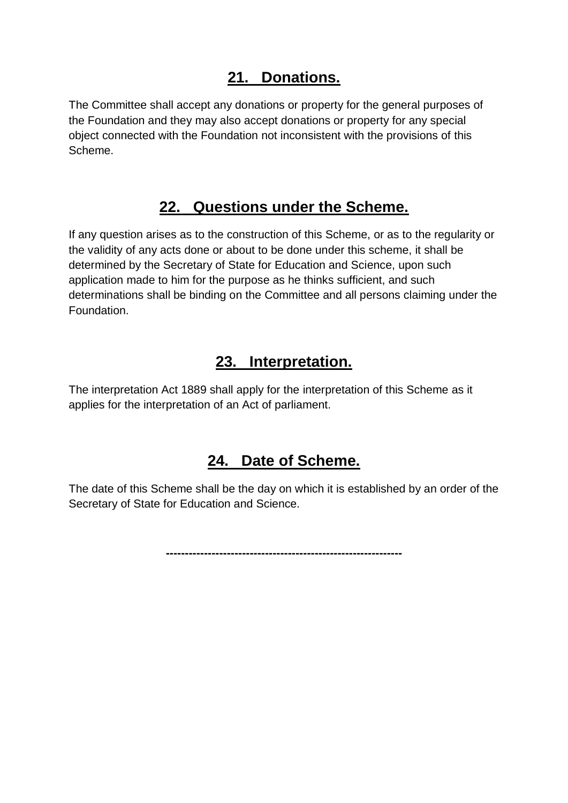#### **21. Donations.**

The Committee shall accept any donations or property for the general purposes of the Foundation and they may also accept donations or property for any special object connected with the Foundation not inconsistent with the provisions of this Scheme.

#### **22. Questions under the Scheme.**

If any question arises as to the construction of this Scheme, or as to the regularity or the validity of any acts done or about to be done under this scheme, it shall be determined by the Secretary of State for Education and Science, upon such application made to him for the purpose as he thinks sufficient, and such determinations shall be binding on the Committee and all persons claiming under the Foundation.

#### **23. Interpretation.**

The interpretation Act 1889 shall apply for the interpretation of this Scheme as it applies for the interpretation of an Act of parliament.

#### **24. Date of Scheme.**

The date of this Scheme shall be the day on which it is established by an order of the Secretary of State for Education and Science.

**--------------------------------------------------------------**